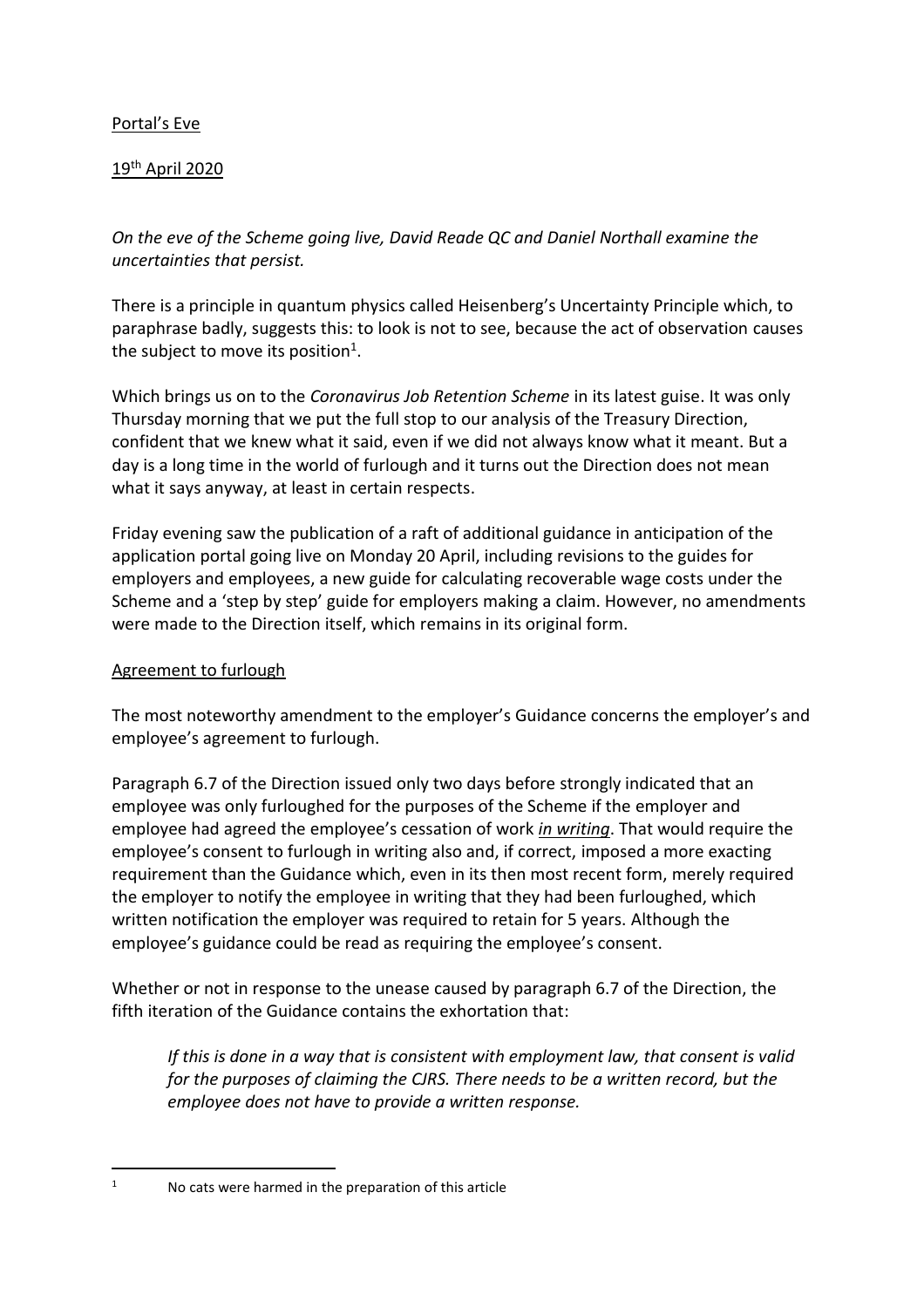# Portal's Eve

# 19th April 2020

*On the eve of the Scheme going live, David Reade QC and Daniel Northall examine the uncertainties that persist.*

There is a principle in quantum physics called Heisenberg's Uncertainty Principle which, to paraphrase badly, suggests this: to look is not to see, because the act of observation causes the subject to move its position $^1$ .

Which brings us on to the *Coronavirus Job Retention Scheme* in its latest guise. It was only Thursday morning that we put the full stop to our analysis of the Treasury Direction, confident that we knew what it said, even if we did not always know what it meant. But a day is a long time in the world of furlough and it turns out the Direction does not mean what it says anyway, at least in certain respects.

Friday evening saw the publication of a raft of additional guidance in anticipation of the application portal going live on Monday 20 April, including revisions to the guides for employers and employees, a new guide for calculating recoverable wage costs under the Scheme and a 'step by step' guide for employers making a claim. However, no amendments were made to the Direction itself, which remains in its original form.

### Agreement to furlough

The most noteworthy amendment to the employer's Guidance concerns the employer's and employee's agreement to furlough.

Paragraph 6.7 of the Direction issued only two days before strongly indicated that an employee was only furloughed for the purposes of the Scheme if the employer and employee had agreed the employee's cessation of work *in writing*. That would require the employee's consent to furlough in writing also and, if correct, imposed a more exacting requirement than the Guidance which, even in its then most recent form, merely required the employer to notify the employee in writing that they had been furloughed, which written notification the employer was required to retain for 5 years. Although the employee's guidance could be read as requiring the employee's consent.

Whether or not in response to the unease caused by paragraph 6.7 of the Direction, the fifth iteration of the Guidance contains the exhortation that:

*If this is done in a way that is consistent with employment law, that consent is valid for the purposes of claiming the CJRS. There needs to be a written record, but the employee does not have to provide a written response.*

 $\overline{a}$ 1

No cats were harmed in the preparation of this article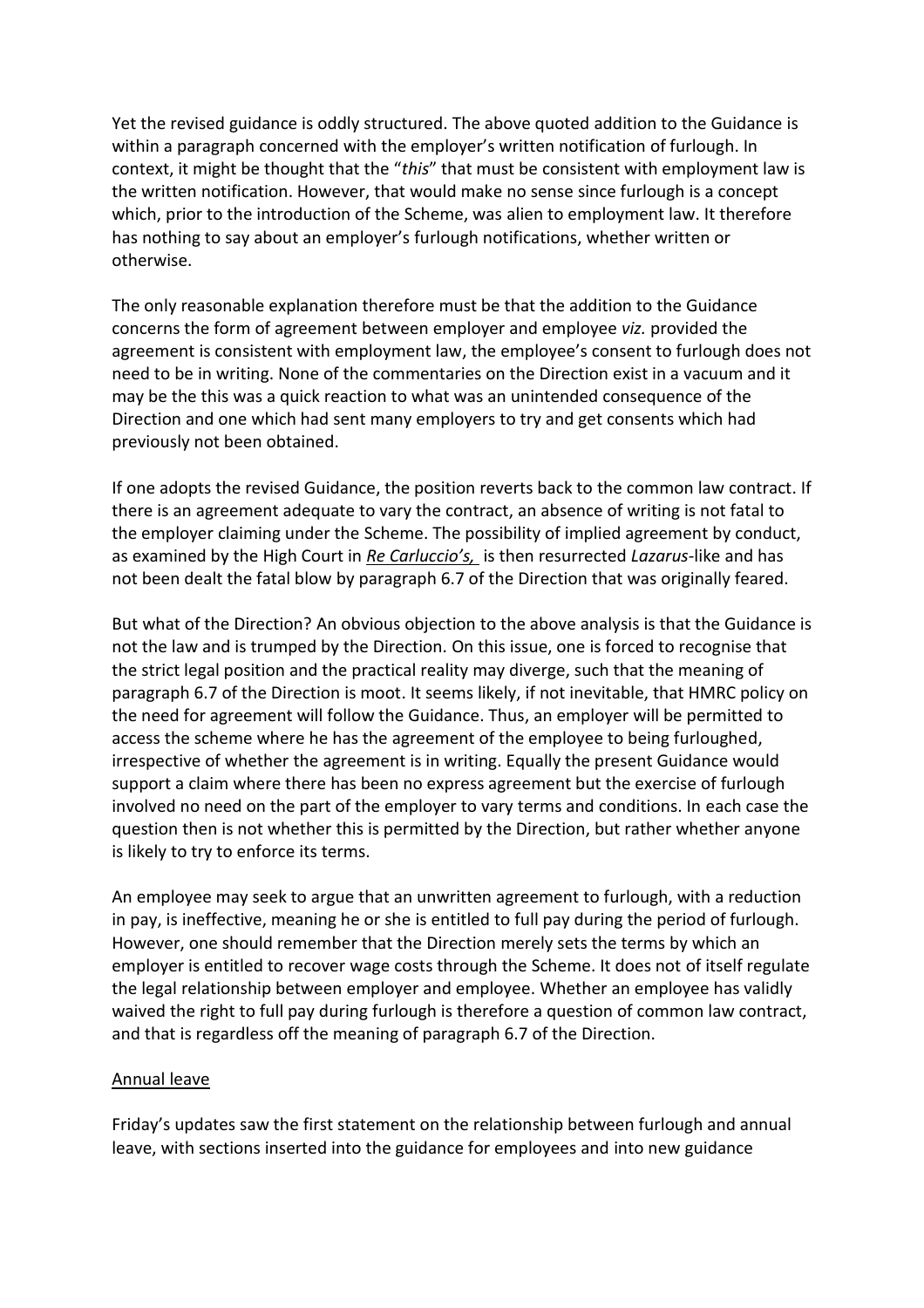Yet the revised guidance is oddly structured. The above quoted addition to the Guidance is within a paragraph concerned with the employer's written notification of furlough. In context, it might be thought that the "*this*" that must be consistent with employment law is the written notification. However, that would make no sense since furlough is a concept which, prior to the introduction of the Scheme, was alien to employment law. It therefore has nothing to say about an employer's furlough notifications, whether written or otherwise.

The only reasonable explanation therefore must be that the addition to the Guidance concerns the form of agreement between employer and employee *viz.* provided the agreement is consistent with employment law, the employee's consent to furlough does not need to be in writing. None of the commentaries on the Direction exist in a vacuum and it may be the this was a quick reaction to what was an unintended consequence of the Direction and one which had sent many employers to try and get consents which had previously not been obtained.

If one adopts the revised Guidance, the position reverts back to the common law contract. If there is an agreement adequate to vary the contract, an absence of writing is not fatal to the employer claiming under the Scheme. The possibility of implied agreement by conduct, as examined by the High Court in *Re Carluccio's,* is then resurrected *Lazarus-*like and has not been dealt the fatal blow by paragraph 6.7 of the Direction that was originally feared.

But what of the Direction? An obvious objection to the above analysis is that the Guidance is not the law and is trumped by the Direction. On this issue, one is forced to recognise that the strict legal position and the practical reality may diverge, such that the meaning of paragraph 6.7 of the Direction is moot. It seems likely, if not inevitable, that HMRC policy on the need for agreement will follow the Guidance. Thus, an employer will be permitted to access the scheme where he has the agreement of the employee to being furloughed, irrespective of whether the agreement is in writing. Equally the present Guidance would support a claim where there has been no express agreement but the exercise of furlough involved no need on the part of the employer to vary terms and conditions. In each case the question then is not whether this is permitted by the Direction, but rather whether anyone is likely to try to enforce its terms.

An employee may seek to argue that an unwritten agreement to furlough, with a reduction in pay, is ineffective, meaning he or she is entitled to full pay during the period of furlough. However, one should remember that the Direction merely sets the terms by which an employer is entitled to recover wage costs through the Scheme. It does not of itself regulate the legal relationship between employer and employee. Whether an employee has validly waived the right to full pay during furlough is therefore a question of common law contract, and that is regardless off the meaning of paragraph 6.7 of the Direction.

#### Annual leave

Friday's updates saw the first statement on the relationship between furlough and annual leave, with sections inserted into the guidance for employees and into new guidance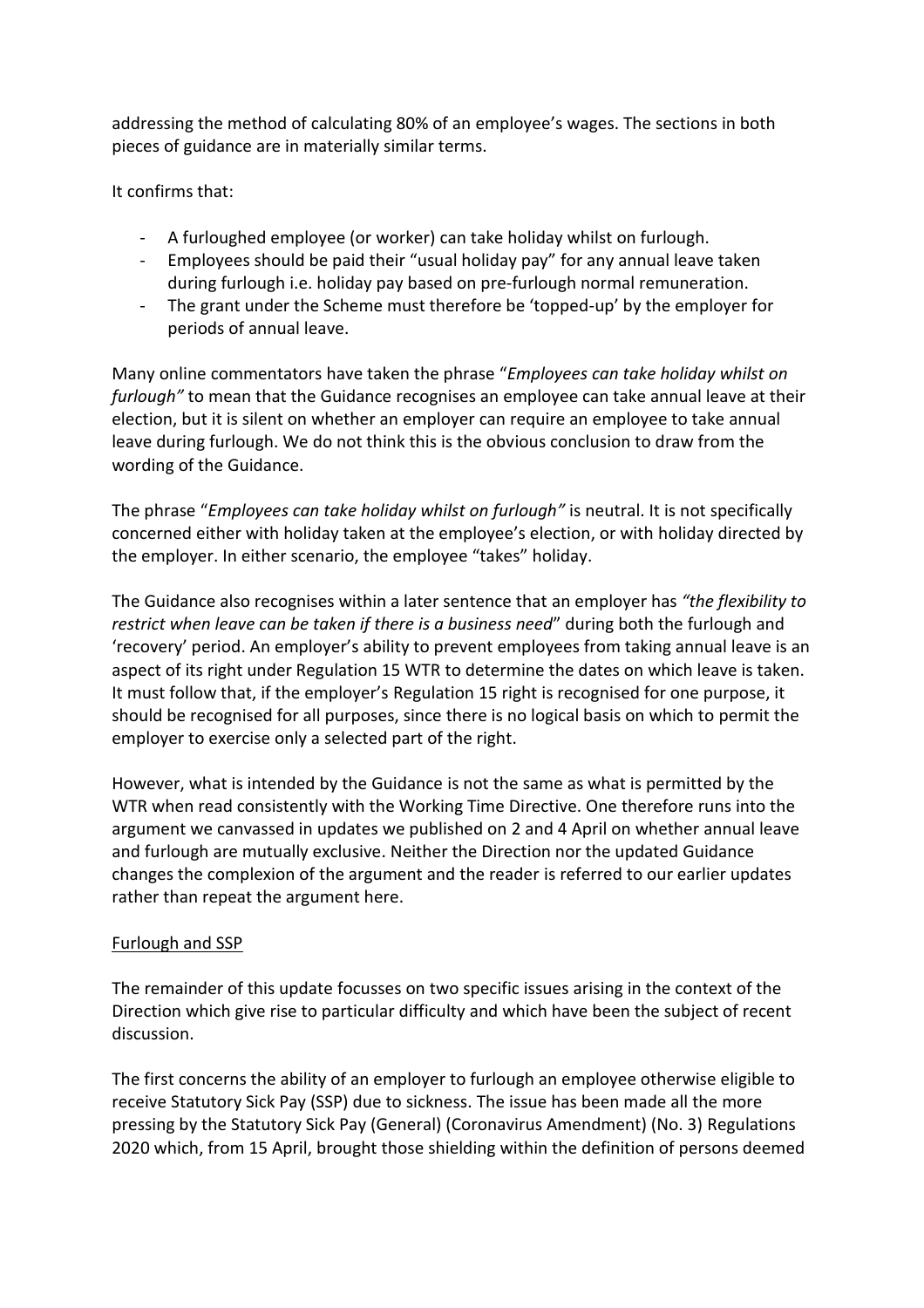addressing the method of calculating 80% of an employee's wages. The sections in both pieces of guidance are in materially similar terms.

It confirms that:

- A furloughed employee (or worker) can take holiday whilst on furlough.
- Employees should be paid their "usual holiday pay" for any annual leave taken during furlough i.e. holiday pay based on pre-furlough normal remuneration.
- The grant under the Scheme must therefore be 'topped-up' by the employer for periods of annual leave.

Many online commentators have taken the phrase "*Employees can take holiday whilst on furlough"* to mean that the Guidance recognises an employee can take annual leave at their election, but it is silent on whether an employer can require an employee to take annual leave during furlough. We do not think this is the obvious conclusion to draw from the wording of the Guidance.

The phrase "*Employees can take holiday whilst on furlough"* is neutral. It is not specifically concerned either with holiday taken at the employee's election, or with holiday directed by the employer. In either scenario, the employee "takes" holiday.

The Guidance also recognises within a later sentence that an employer has *"the flexibility to restrict when leave can be taken if there is a business need*" during both the furlough and 'recovery' period. An employer's ability to prevent employees from taking annual leave is an aspect of its right under Regulation 15 WTR to determine the dates on which leave is taken. It must follow that, if the employer's Regulation 15 right is recognised for one purpose, it should be recognised for all purposes, since there is no logical basis on which to permit the employer to exercise only a selected part of the right.

However, what is intended by the Guidance is not the same as what is permitted by the WTR when read consistently with the Working Time Directive. One therefore runs into the argument we canvassed in updates we published on 2 and 4 April on whether annual leave and furlough are mutually exclusive. Neither the Direction nor the updated Guidance changes the complexion of the argument and the reader is referred to our earlier updates rather than repeat the argument here.

### Furlough and SSP

The remainder of this update focusses on two specific issues arising in the context of the Direction which give rise to particular difficulty and which have been the subject of recent discussion.

The first concerns the ability of an employer to furlough an employee otherwise eligible to receive Statutory Sick Pay (SSP) due to sickness. The issue has been made all the more pressing by the Statutory Sick Pay (General) (Coronavirus Amendment) (No. 3) Regulations 2020 which, from 15 April, brought those shielding within the definition of persons deemed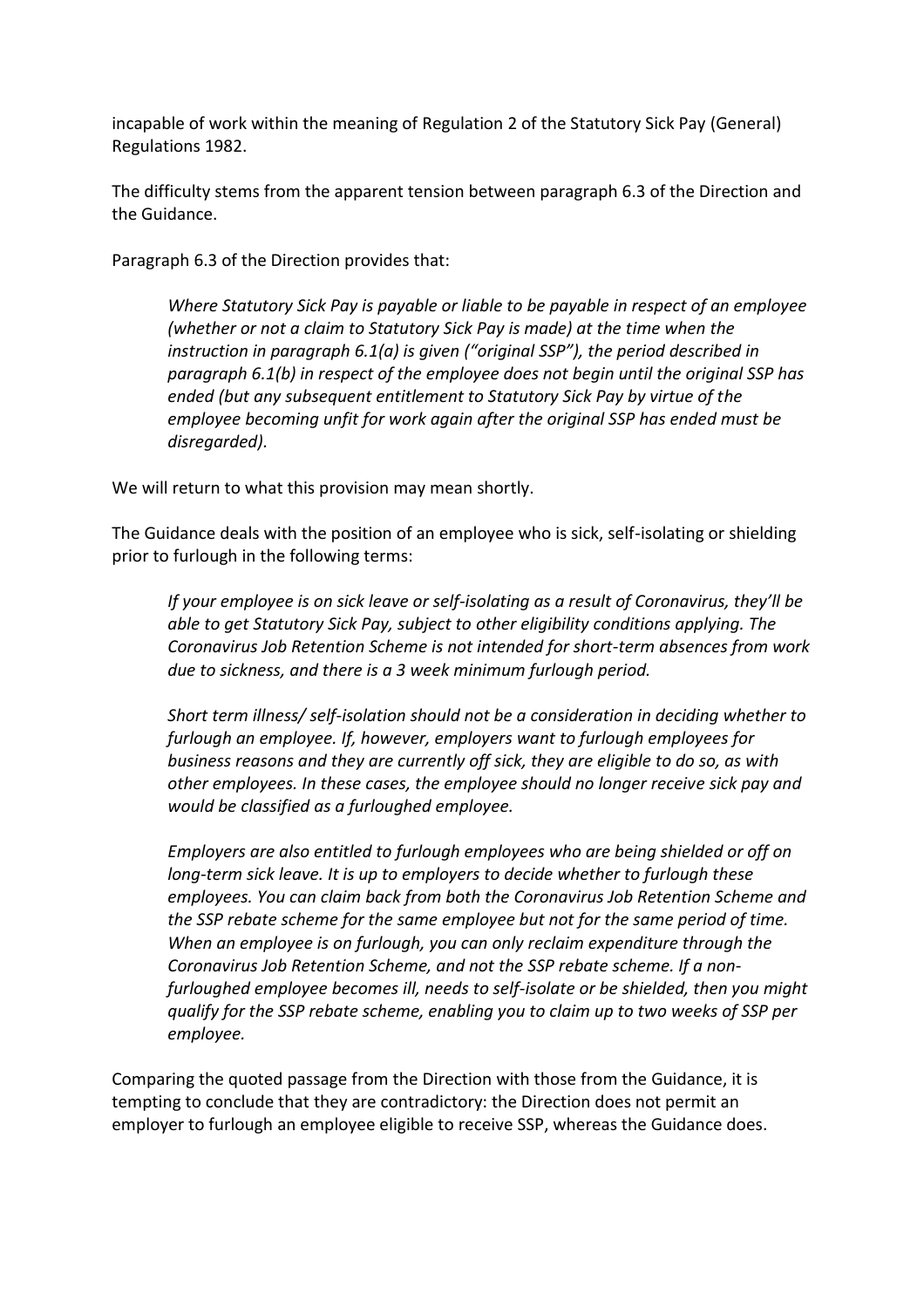incapable of work within the meaning of Regulation 2 of the Statutory Sick Pay (General) Regulations 1982.

The difficulty stems from the apparent tension between paragraph 6.3 of the Direction and the Guidance.

Paragraph 6.3 of the Direction provides that:

*Where Statutory Sick Pay is payable or liable to be payable in respect of an employee (whether or not a claim to Statutory Sick Pay is made) at the time when the instruction in paragraph 6.1(a) is given ("original SSP"), the period described in paragraph 6.1(b) in respect of the employee does not begin until the original SSP has ended (but any subsequent entitlement to Statutory Sick Pay by virtue of the employee becoming unfit for work again after the original SSP has ended must be disregarded).*

We will return to what this provision may mean shortly.

The Guidance deals with the position of an employee who is sick, self-isolating or shielding prior to furlough in the following terms:

*If your employee is on sick leave or self-isolating as a result of Coronavirus, they'll be able to get Statutory Sick Pay, subject to other eligibility conditions applying. The Coronavirus Job Retention Scheme is not intended for short-term absences from work due to sickness, and there is a 3 week minimum furlough period.*

*Short term illness/ self-isolation should not be a consideration in deciding whether to furlough an employee. If, however, employers want to furlough employees for business reasons and they are currently off sick, they are eligible to do so, as with other employees. In these cases, the employee should no longer receive sick pay and would be classified as a furloughed employee.* 

*Employers are also entitled to furlough employees who are being shielded or off on long-term sick leave. It is up to employers to decide whether to furlough these employees. You can claim back from both the Coronavirus Job Retention Scheme and the SSP rebate scheme for the same employee but not for the same period of time. When an employee is on furlough, you can only reclaim expenditure through the Coronavirus Job Retention Scheme, and not the SSP rebate scheme. If a nonfurloughed employee becomes ill, needs to self-isolate or be shielded, then you might qualify for the SSP rebate scheme, enabling you to claim up to two weeks of SSP per employee.*

Comparing the quoted passage from the Direction with those from the Guidance, it is tempting to conclude that they are contradictory: the Direction does not permit an employer to furlough an employee eligible to receive SSP, whereas the Guidance does.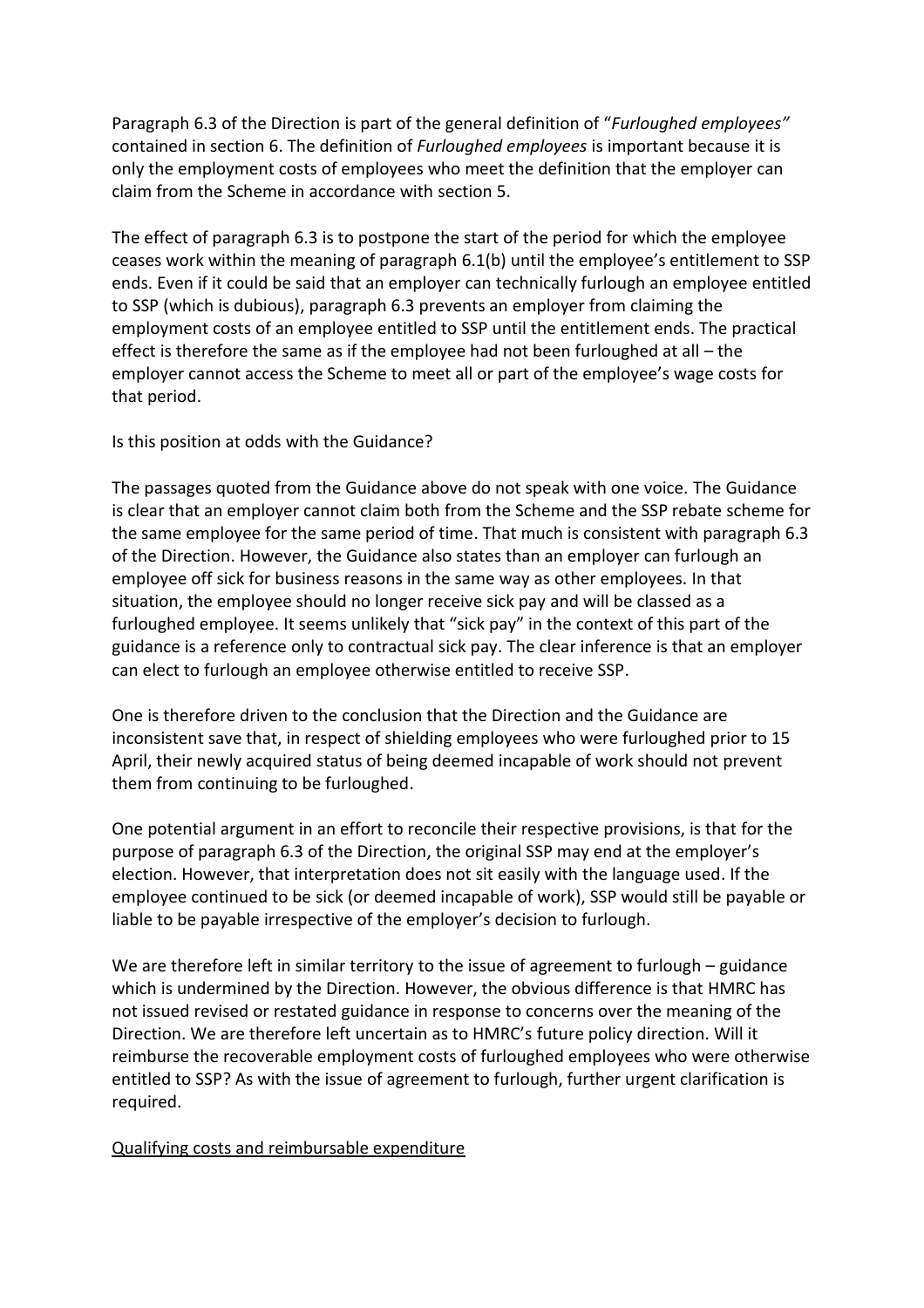Paragraph 6.3 of the Direction is part of the general definition of "*Furloughed employees"* contained in section 6. The definition of *Furloughed employees* is important because it is only the employment costs of employees who meet the definition that the employer can claim from the Scheme in accordance with section 5.

The effect of paragraph 6.3 is to postpone the start of the period for which the employee ceases work within the meaning of paragraph 6.1(b) until the employee's entitlement to SSP ends. Even if it could be said that an employer can technically furlough an employee entitled to SSP (which is dubious), paragraph 6.3 prevents an employer from claiming the employment costs of an employee entitled to SSP until the entitlement ends. The practical effect is therefore the same as if the employee had not been furloughed at all – the employer cannot access the Scheme to meet all or part of the employee's wage costs for that period.

Is this position at odds with the Guidance?

The passages quoted from the Guidance above do not speak with one voice. The Guidance is clear that an employer cannot claim both from the Scheme and the SSP rebate scheme for the same employee for the same period of time. That much is consistent with paragraph 6.3 of the Direction. However, the Guidance also states than an employer can furlough an employee off sick for business reasons in the same way as other employees. In that situation, the employee should no longer receive sick pay and will be classed as a furloughed employee. It seems unlikely that "sick pay" in the context of this part of the guidance is a reference only to contractual sick pay. The clear inference is that an employer can elect to furlough an employee otherwise entitled to receive SSP.

One is therefore driven to the conclusion that the Direction and the Guidance are inconsistent save that, in respect of shielding employees who were furloughed prior to 15 April, their newly acquired status of being deemed incapable of work should not prevent them from continuing to be furloughed.

One potential argument in an effort to reconcile their respective provisions, is that for the purpose of paragraph 6.3 of the Direction, the original SSP may end at the employer's election. However, that interpretation does not sit easily with the language used. If the employee continued to be sick (or deemed incapable of work), SSP would still be payable or liable to be payable irrespective of the employer's decision to furlough.

We are therefore left in similar territory to the issue of agreement to furlough – guidance which is undermined by the Direction. However, the obvious difference is that HMRC has not issued revised or restated guidance in response to concerns over the meaning of the Direction. We are therefore left uncertain as to HMRC's future policy direction. Will it reimburse the recoverable employment costs of furloughed employees who were otherwise entitled to SSP? As with the issue of agreement to furlough, further urgent clarification is required.

Qualifying costs and reimbursable expenditure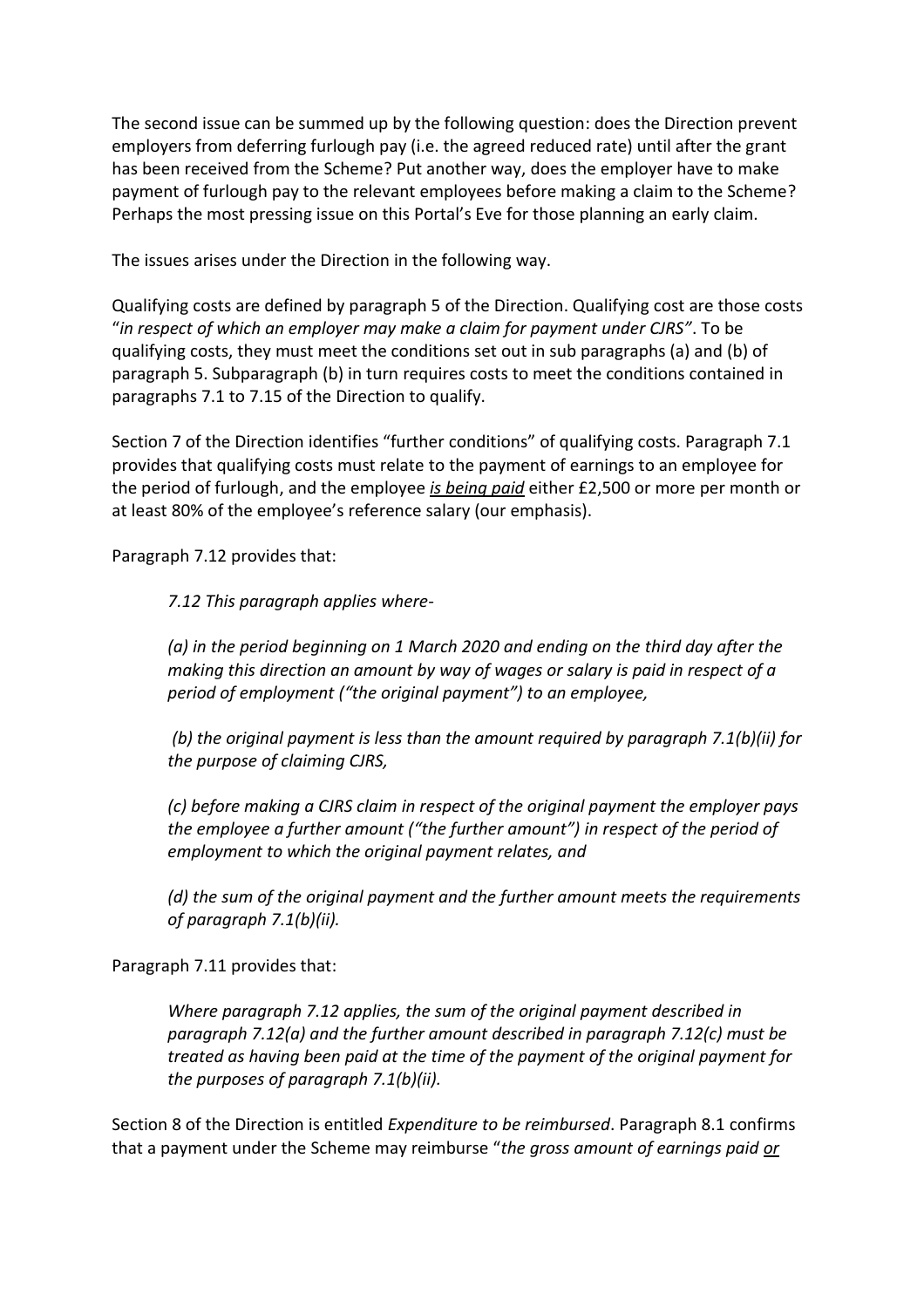The second issue can be summed up by the following question: does the Direction prevent employers from deferring furlough pay (i.e. the agreed reduced rate) until after the grant has been received from the Scheme? Put another way, does the employer have to make payment of furlough pay to the relevant employees before making a claim to the Scheme? Perhaps the most pressing issue on this Portal's Eve for those planning an early claim.

The issues arises under the Direction in the following way.

Qualifying costs are defined by paragraph 5 of the Direction. Qualifying cost are those costs "*in respect of which an employer may make a claim for payment under CJRS"*. To be qualifying costs, they must meet the conditions set out in sub paragraphs (a) and (b) of paragraph 5. Subparagraph (b) in turn requires costs to meet the conditions contained in paragraphs 7.1 to 7.15 of the Direction to qualify.

Section 7 of the Direction identifies "further conditions" of qualifying costs. Paragraph 7.1 provides that qualifying costs must relate to the payment of earnings to an employee for the period of furlough, and the employee *is being paid* either £2,500 or more per month or at least 80% of the employee's reference salary (our emphasis).

Paragraph 7.12 provides that:

*7.12 This paragraph applies where-*

*(a) in the period beginning on 1 March 2020 and ending on the third day after the making this direction an amount by way of wages or salary is paid in respect of a period of employment ("the original payment") to an employee,*

*(b) the original payment is less than the amount required by paragraph 7.1(b)(ii) for the purpose of claiming CJRS,* 

*(c) before making a CJRS claim in respect of the original payment the employer pays the employee a further amount ("the further amount") in respect of the period of employment to which the original payment relates, and* 

*(d) the sum of the original payment and the further amount meets the requirements of paragraph 7.1(b)(ii).*

Paragraph 7.11 provides that:

*Where paragraph 7.12 applies, the sum of the original payment described in paragraph 7.12(a) and the further amount described in paragraph 7.12(c) must be treated as having been paid at the time of the payment of the original payment for the purposes of paragraph 7.1(b)(ii).* 

Section 8 of the Direction is entitled *Expenditure to be reimbursed*. Paragraph 8.1 confirms that a payment under the Scheme may reimburse "*the gross amount of earnings paid or*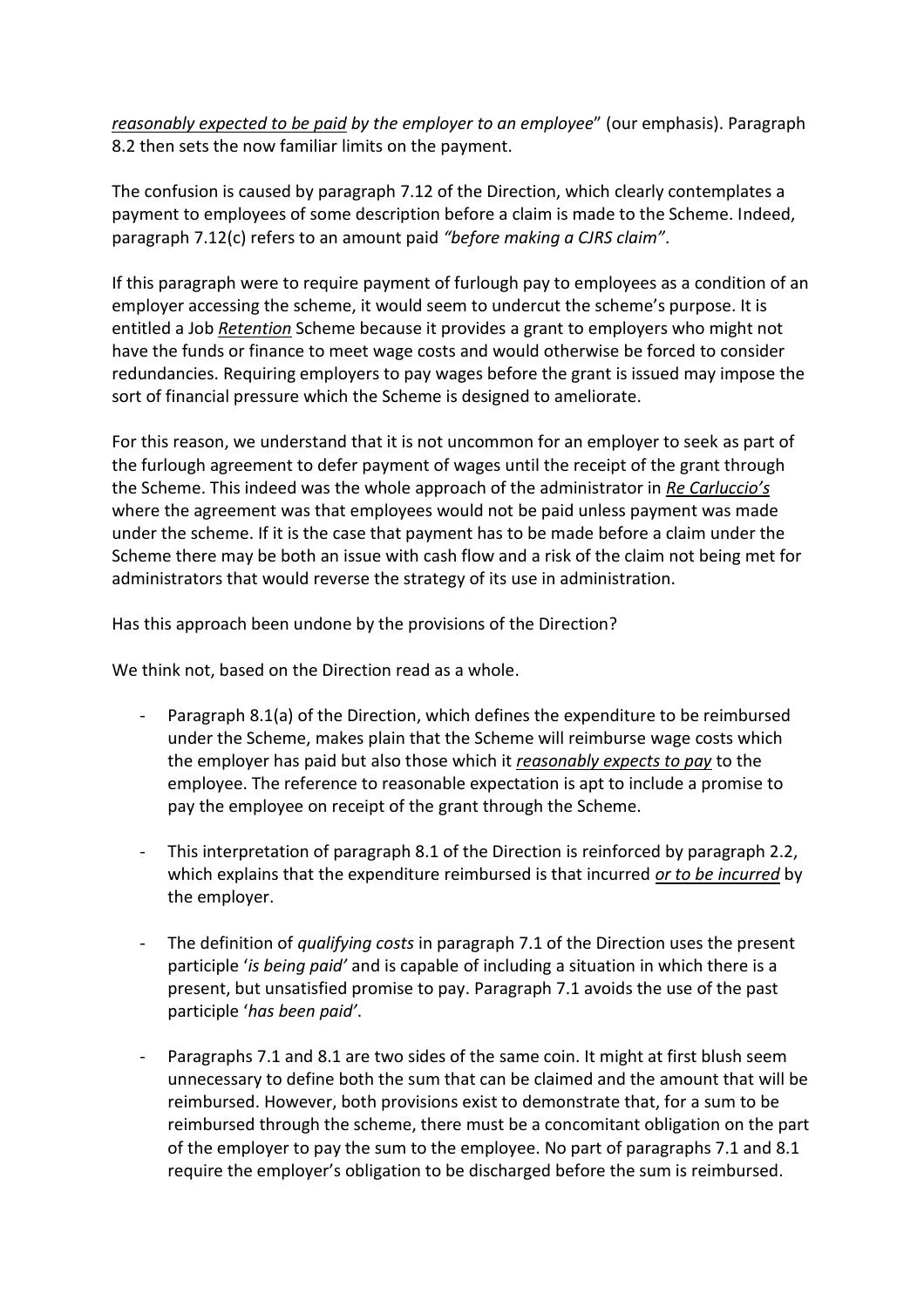*reasonably expected to be paid by the employer to an employee*" (our emphasis). Paragraph 8.2 then sets the now familiar limits on the payment.

The confusion is caused by paragraph 7.12 of the Direction, which clearly contemplates a payment to employees of some description before a claim is made to the Scheme. Indeed, paragraph 7.12(c) refers to an amount paid *"before making a CJRS claim"*.

If this paragraph were to require payment of furlough pay to employees as a condition of an employer accessing the scheme, it would seem to undercut the scheme's purpose. It is entitled a Job *Retention* Scheme because it provides a grant to employers who might not have the funds or finance to meet wage costs and would otherwise be forced to consider redundancies. Requiring employers to pay wages before the grant is issued may impose the sort of financial pressure which the Scheme is designed to ameliorate.

For this reason, we understand that it is not uncommon for an employer to seek as part of the furlough agreement to defer payment of wages until the receipt of the grant through the Scheme. This indeed was the whole approach of the administrator in *Re Carluccio's* where the agreement was that employees would not be paid unless payment was made under the scheme. If it is the case that payment has to be made before a claim under the Scheme there may be both an issue with cash flow and a risk of the claim not being met for administrators that would reverse the strategy of its use in administration.

Has this approach been undone by the provisions of the Direction?

We think not, based on the Direction read as a whole.

- Paragraph 8.1(a) of the Direction, which defines the expenditure to be reimbursed under the Scheme, makes plain that the Scheme will reimburse wage costs which the employer has paid but also those which it *reasonably expects to pay* to the employee. The reference to reasonable expectation is apt to include a promise to pay the employee on receipt of the grant through the Scheme.
- This interpretation of paragraph 8.1 of the Direction is reinforced by paragraph 2.2, which explains that the expenditure reimbursed is that incurred *or to be incurred* by the employer.
- The definition of *qualifying costs* in paragraph 7.1 of the Direction uses the present participle '*is being paid'* and is capable of including a situation in which there is a present, but unsatisfied promise to pay. Paragraph 7.1 avoids the use of the past participle '*has been paid'*.
- Paragraphs 7.1 and 8.1 are two sides of the same coin. It might at first blush seem unnecessary to define both the sum that can be claimed and the amount that will be reimbursed. However, both provisions exist to demonstrate that, for a sum to be reimbursed through the scheme, there must be a concomitant obligation on the part of the employer to pay the sum to the employee. No part of paragraphs 7.1 and 8.1 require the employer's obligation to be discharged before the sum is reimbursed.